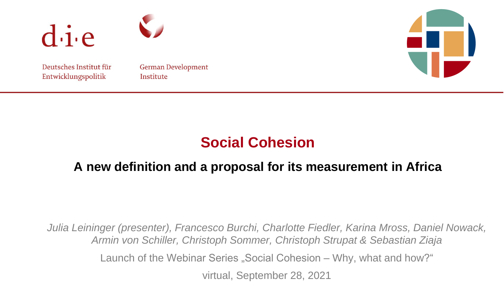

Deutsches Institut für Entwicklungspolitik

German Development Institute



# **Social Cohesion**

# **A new definition and a proposal for its measurement in Africa**

*Julia Leininger (presenter), Francesco Burchi, Charlotte Fiedler, Karina Mross, Daniel Nowack, Armin von Schiller, Christoph Sommer, Christoph Strupat & Sebastian Ziaja* Launch of the Webinar Series "Social Cohesion – Why, what and how?" virtual, September 28, 2021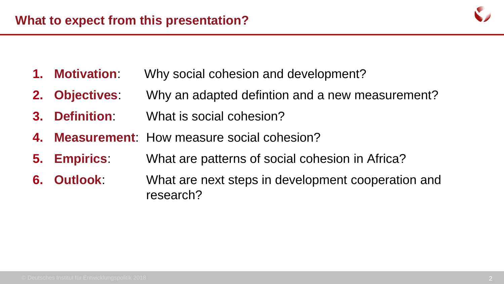

- **1. Motivation**: Why social cohesion and development?
- **2. Objectives**: Why an adapted defintion and a new measurement?
- **3. Definition**: What is social cohesion?
- **4. Measurement**: How measure social cohesion?
- **5. Empirics**: What are patterns of social cohesion in Africa?
- **6. Outlook**: What are next steps in development cooperation and research?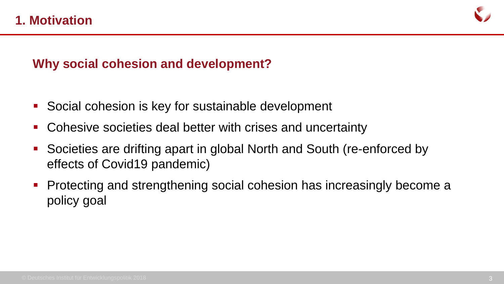

## **Why social cohesion and development?**

- Social cohesion is key for sustainable development
- Cohesive societies deal better with crises and uncertainty
- Societies are drifting apart in global North and South (re-enforced by effects of Covid19 pandemic)
- Protecting and strengthening social cohesion has increasingly become a policy goal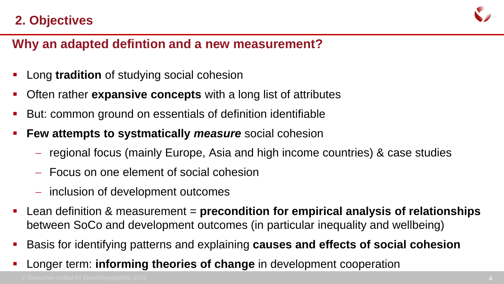# **2. Objectives**



## **Why an adapted defintion and a new measurement?**

- Long **tradition** of studying social cohesion
- Often rather **expansive concepts** with a long list of attributes
- But: common ground on essentials of definition identifiable
- **Few attempts to systmatically** *measure* social cohesion
	- regional focus (mainly Europe, Asia and high income countries) & case studies
	- Focus on one element of social cohesion
	- inclusion of development outcomes
- Lean definition & measurement = **precondition for empirical analysis of relationships** between SoCo and development outcomes (in particular inequality and wellbeing)
- Basis for identifying patterns and explaining **causes and effects of social cohesion**
- Longer term: **informing theories of change** in development cooperation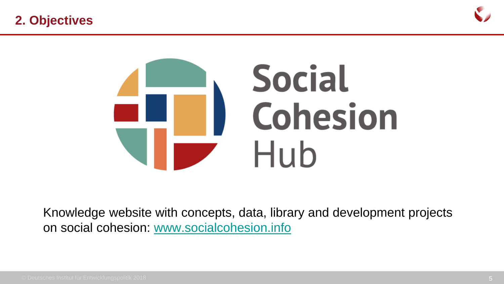



Knowledge website with concepts, data, library and development projects on social cohesion: [www.socialcohesion.info](http://www.socialcohesion.info/)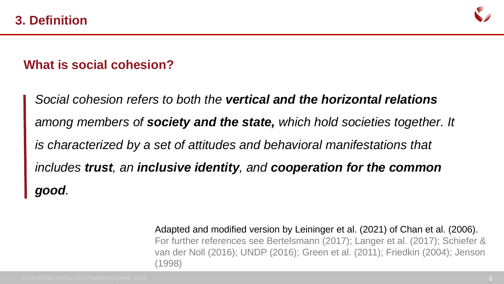

### **What is social cohesion?**

*Social cohesion refers to both the vertical and the horizontal relations among members of society and the state, which hold societies together. It is characterized by a set of attitudes and behavioral manifestations that includes trust, an inclusive identity, and cooperation for the common good.* 

> Adapted and modified version by Leininger et al. (2021) of Chan et al. (2006). For further references see Bertelsmann (2017); Langer et al. (2017); Schiefer & van der Noll (2016); UNDP (2016); Green et al. (2011); Friedkin (2004); Jenson (1998)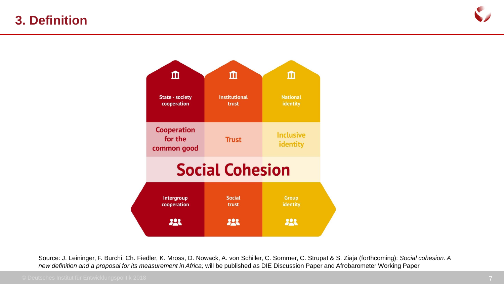### **3. Definition**





Source: J. Leininger, F. Burchi, Ch. Fiedler, K. Mross, D. Nowack, A. von Schiller, C. Sommer, C. Strupat & S. Ziaja (forthcoming): *Social cohesion. A new definition and a proposal for its measurement in Africa;* will be published as DIE Discussion Paper and Afrobarometer Working Paper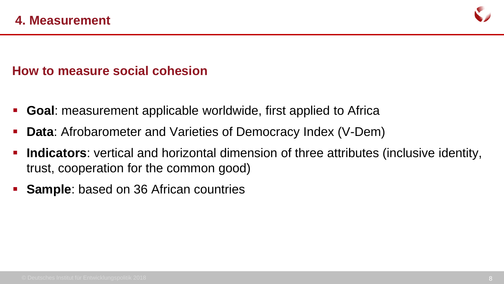

### **How to measure social cohesion**

- **Goal**: measurement applicable worldwide, first applied to Africa
- **Data**: Afrobarometer and Varieties of Democracy Index (V-Dem)
- **Indicators**: vertical and horizontal dimension of three attributes (inclusive identity, trust, cooperation for the common good)
- **Sample**: based on 36 African countries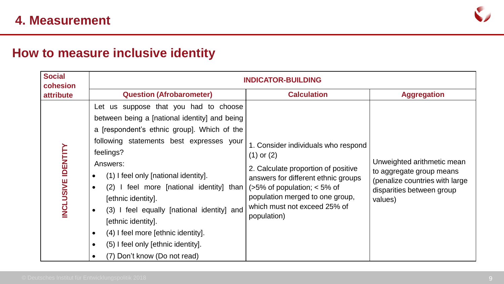

# **How to measure inclusive identity**

| <b>Social</b><br>cohesion | <b>INDICATOR-BUILDING</b>                                                                                                                                                                                                                                                                                                                                                                                                                                                                                                                                                          |                                                                                                                                                                                                                                                         |                                                                                                                                  |  |  |  |  |  |
|---------------------------|------------------------------------------------------------------------------------------------------------------------------------------------------------------------------------------------------------------------------------------------------------------------------------------------------------------------------------------------------------------------------------------------------------------------------------------------------------------------------------------------------------------------------------------------------------------------------------|---------------------------------------------------------------------------------------------------------------------------------------------------------------------------------------------------------------------------------------------------------|----------------------------------------------------------------------------------------------------------------------------------|--|--|--|--|--|
| <b>attribute</b>          | <b>Question (Afrobarometer)</b>                                                                                                                                                                                                                                                                                                                                                                                                                                                                                                                                                    | <b>Calculation</b>                                                                                                                                                                                                                                      | <b>Aggregation</b>                                                                                                               |  |  |  |  |  |
| <b>INCLUSIVE IDENTITY</b> | Let us suppose that you had to choose<br>between being a [national identity] and being<br>a [respondent's ethnic group]. Which of the<br>following statements best expresses your<br>feelings?<br>Answers:<br>(1) I feel only [national identity].<br>$\bullet$<br>(2) I feel more [national identity] than<br>$\bullet$<br>[ethnic identity].<br>(3) I feel equally [national identity] and<br>$\bullet$<br>[ethnic identity].<br>(4) I feel more [ethnic identity].<br>$\bullet$<br>(5) I feel only [ethnic identity].<br>$\bullet$<br>(7) Don't know (Do not read)<br>$\bullet$ | 1. Consider individuals who respond<br>$(1)$ or $(2)$<br>2. Calculate proportion of positive<br>answers for different ethnic groups<br>$($ >5% of population; < 5% of<br>population merged to one group,<br>which must not exceed 25% of<br>population) | Unweighted arithmetic mean<br>to aggregate group means<br>(penalize countries with large<br>disparities between group<br>values) |  |  |  |  |  |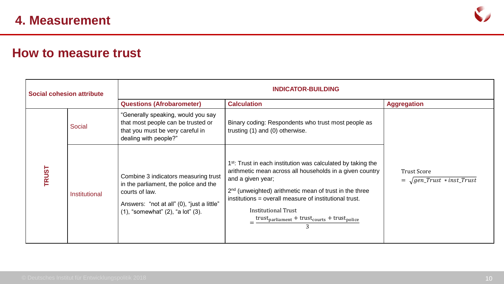

#### **How to measure trust**

| <b>Social cohesion attribute</b> |               | <b>INDICATOR-BUILDING</b>                                                                                                                                                                   |                                                                                                                                                                                                                                                                                                                                                                                                                                                                                       |                                                           |  |  |
|----------------------------------|---------------|---------------------------------------------------------------------------------------------------------------------------------------------------------------------------------------------|---------------------------------------------------------------------------------------------------------------------------------------------------------------------------------------------------------------------------------------------------------------------------------------------------------------------------------------------------------------------------------------------------------------------------------------------------------------------------------------|-----------------------------------------------------------|--|--|
|                                  |               | <b>Questions (Afrobarometer)</b><br><b>Calculation</b>                                                                                                                                      |                                                                                                                                                                                                                                                                                                                                                                                                                                                                                       | <b>Aggregation</b>                                        |  |  |
| <b>TRUST</b>                     | <b>Social</b> | "Generally speaking, would you say<br>that most people can be trusted or<br>that you must be very careful in<br>dealing with people?"                                                       | Binary coding: Respondents who trust most people as<br>trusting (1) and (0) otherwise.                                                                                                                                                                                                                                                                                                                                                                                                | <b>Trust Score</b><br>$= \sqrt{gen\_Trust * inst\_Trust}$ |  |  |
|                                  | Institutional | Combine 3 indicators measuring trust<br>in the parliament, the police and the<br>courts of law.<br>Answers: "not at all" (0), "just a little"<br>$(1)$ , "somewhat" $(2)$ , "a lot" $(3)$ . | 1 <sup>st</sup> : Trust in each institution was calculated by taking the<br>arithmetic mean across all households in a given country<br>and a given year;<br>2 <sup>nd</sup> (unweighted) arithmetic mean of trust in the three<br>institutions = overall measure of institutional trust.<br><b>Institutional Trust</b><br>$=\frac{\text{trust}_{\text{parliameter}}+\text{trust}_{\text{course}}+\text{trust}_{\text{policy}}}{\sum_{\text{parlique}}+\text{burst}_{\text{polic}}},$ |                                                           |  |  |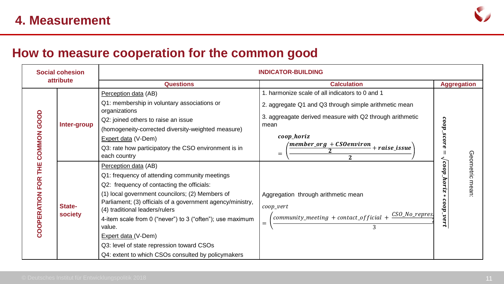

#### **How to measure cooperation for the common good**

| <b>Social cohesion</b><br>attribute            |                          | <b>INDICATOR-BUILDING</b>                                                                                                                                                                                                                                                                                                                                                                                         |                                                                                                                                                                |                          |                    |  |  |
|------------------------------------------------|--------------------------|-------------------------------------------------------------------------------------------------------------------------------------------------------------------------------------------------------------------------------------------------------------------------------------------------------------------------------------------------------------------------------------------------------------------|----------------------------------------------------------------------------------------------------------------------------------------------------------------|--------------------------|--------------------|--|--|
|                                                |                          | <b>Questions</b>                                                                                                                                                                                                                                                                                                                                                                                                  | <b>Calculation</b>                                                                                                                                             | <b>Aggregation</b>       |                    |  |  |
|                                                | Inter-group              | Perception data (AB)                                                                                                                                                                                                                                                                                                                                                                                              | 1. harmonize scale of all indicators to 0 and 1                                                                                                                |                          |                    |  |  |
|                                                |                          | Q1: membership in voluntary associations or<br>organizations                                                                                                                                                                                                                                                                                                                                                      | 2. aggregate Q1 and Q3 through simple arithmetic mean                                                                                                          |                          |                    |  |  |
| GOOD                                           |                          | Q2: joined others to raise an issue                                                                                                                                                                                                                                                                                                                                                                               | 3. aggreagate derived measure with Q2 through arithmetic                                                                                                       | coop                     |                    |  |  |
| <b>COMMON</b><br>THE<br><b>COOPERATION FOR</b> |                          | (homogeneity-corrected diversity-weighted measure)                                                                                                                                                                                                                                                                                                                                                                | mean                                                                                                                                                           |                          |                    |  |  |
|                                                |                          | Expert data (V-Dem)                                                                                                                                                                                                                                                                                                                                                                                               | coop_horiz                                                                                                                                                     | COT                      |                    |  |  |
|                                                |                          | Q3: rate how participatory the CSO environment is in<br>each country                                                                                                                                                                                                                                                                                                                                              | 'member_org + CSOenviron + raise_issue<br>$=$                                                                                                                  |                          |                    |  |  |
|                                                | State-<br><b>society</b> | Perception data (AB)<br>Q1: frequency of attending community meetings<br>Q2: frequency of contacting the officials:<br>(1) local government councilors; (2) Members of<br>Parliament; (3) officials of a government agency/ministry,<br>(4) traditional leaders/rulers<br>4-item scale from 0 ("never") to 3 ("often"); use maximum<br>value.<br>Expert data (V-Dem)<br>Q3: level of state repression toward CSOs | $\mathbf{2}$<br>Aggregation through arithmetic mean<br>$coop\_vert$<br>$\sigma$ community_meeting + contact_official + $\frac{CSO\_No\_repres}{S}$<br>$=$<br>3 | coop<br>hor<br>coop_vert | Geometric<br>mean: |  |  |
|                                                |                          | Q4: extent to which CSOs consulted by policymakers                                                                                                                                                                                                                                                                                                                                                                |                                                                                                                                                                |                          |                    |  |  |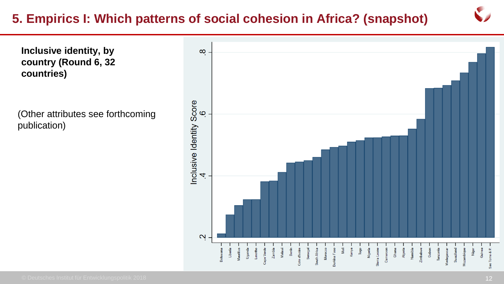# **5. Empirics I: Which patterns of social cohesion in Africa? (snapshot)**

**Inclusive identity, by country (Round 6, 32 countries)**

(Other attributes see forthcoming publication)

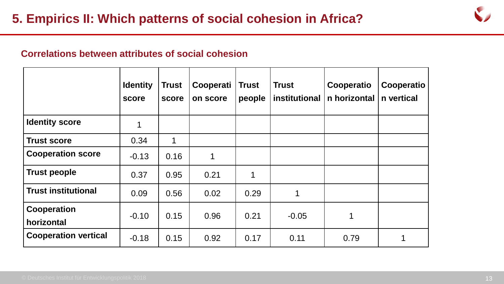

#### **Correlations between attributes of social cohesion**

|                                  | <b>Identity</b><br>score | <b>Trust</b><br>score | Cooperati<br>on score | <b>Trust</b><br>people | <b>Trust</b><br>institutional | Cooperatio<br>n horizontal | Cooperatio<br>n vertical |
|----------------------------------|--------------------------|-----------------------|-----------------------|------------------------|-------------------------------|----------------------------|--------------------------|
| <b>Identity score</b>            |                          |                       |                       |                        |                               |                            |                          |
| <b>Trust score</b>               | 0.34                     | $\mathbf 1$           |                       |                        |                               |                            |                          |
| <b>Cooperation score</b>         | $-0.13$                  | 0.16                  |                       |                        |                               |                            |                          |
| <b>Trust people</b>              | 0.37                     | 0.95                  | 0.21                  | 1                      |                               |                            |                          |
| <b>Trust institutional</b>       | 0.09                     | 0.56                  | 0.02                  | 0.29                   | 1                             |                            |                          |
| <b>Cooperation</b><br>horizontal | $-0.10$                  | 0.15                  | 0.96                  | 0.21                   | $-0.05$                       | 1                          |                          |
| <b>Cooperation vertical</b>      | $-0.18$                  | 0.15                  | 0.92                  | 0.17                   | 0.11                          | 0.79                       |                          |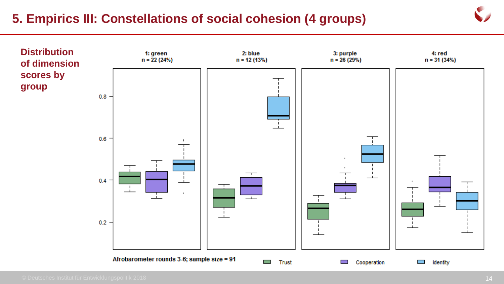## **5. Empirics III: Constellations of social cohesion (4 groups)**

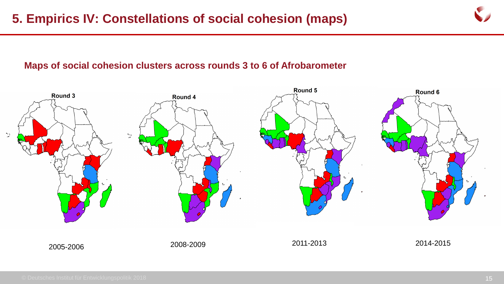

#### **Maps of social cohesion clusters across rounds 3 to 6 of Afrobarometer**

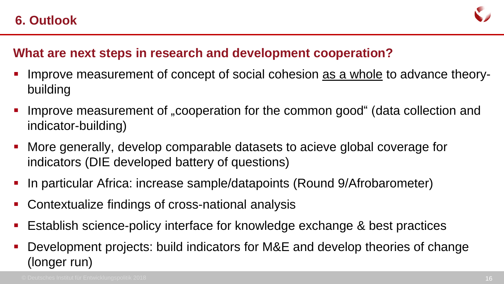

### **What are next steps in research and development cooperation?**

- Improve measurement of concept of social cohesion as a whole to advance theorybuilding
- Improve measurement of "cooperation for the common good" (data collection and indicator-building)
- More generally, develop comparable datasets to acieve global coverage for indicators (DIE developed battery of questions)
- In particular Africa: increase sample/datapoints (Round 9/Afrobarometer)
- Contextualize findings of cross-national analysis
- Establish science-policy interface for knowledge exchange & best practices
- Development projects: build indicators for M&E and develop theories of change (longer run)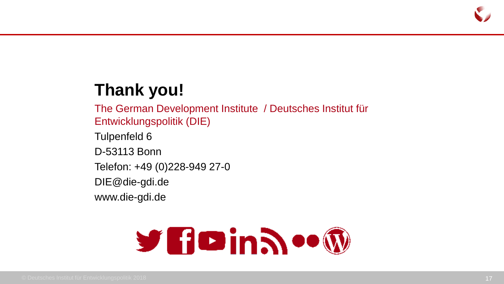

# **Thank you!**

The German Development Institute / Deutsches Institut für Entwicklungspolitik (DIE) Tulpenfeld 6 D-53113 Bonn Telefon: +49 (0)228-949 27-0 DIE@die-gdi.de www.die-gdi.de